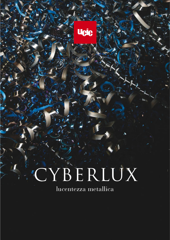# CYBERLUX

lucentezza metallica

**Ueic**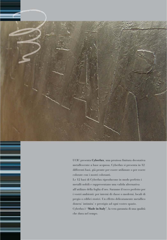

UCIC presenta **Cyberlux**, una preziosa finitura decorativa metallescente a base acquosa. Cyberlux si presenta in 12 differenti basi, già pronte per essere utilizzate o per essere colorate con i nostri coloranti.

Le 12 basi di Cyberlux riproducono in modo perfetto i metalli nobili e rappresentano una valida alternativa all'utilizzo della foglia d'oro. Saranno il tocco perfetto per i vostri ambienti: per interni di classe o moderni, locali di pregio o edifici storici. Un effetto delicatamente metallico donera' intimita' e prestigio ad ogni vostro spazio. Cyberlux è "**Made in Italy**", la vera garanzia di una qualità

che dura nel tempo.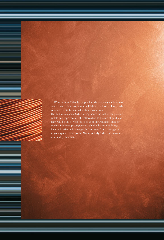UCIC introduces **Cyberlux**, a precious decorative metallic waterbased finish. Cyberlux comes in 12 different basic colors, ready to be used or to be stained with our colorants. The 12 basic colors of Cyberlux reproduce the look of the precious metals and represent a valid alternative to the use of gold leaf. They will be the perfect touch to your environment: class or modern interiors, prestigious or valuable historic buildings. A metallic effect will give gently "intimacy" and prestige to all your space. Cyberlux is "**Made in Italy**", the true guarantee of a quality that lasts.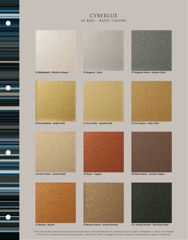# CYBERLUX le basi - basic colors



**C6 Madreperla -** *Mother-of-pearl*







**C7 Argento Antico -** *Ancient Silver*



**C0 Oro Brillante -** *Bright Gold*



**C1 Oro Favilla -** *Sparkle Gold*



**C2 Oro Azteco -** *Aztec Gold*







**C3 Bronzo -** *Bronze*



**C4 Rame -** *Copper*



**C8 Bronzo Antico -** *Ancient Bronze*



**C9 Rame Antico -** *Ancient Copper*



**C11 Acciaio Brunito -** *Burnished Steel*

Tutte le tinte di questa cartella sono state realizzate miscelando flaconi di Totocolor/Stabilcolor con confezioni di 2,5 litri di Cyberlux C6 Madreperla o Cyberlux C0 Oro Brillante *All the colors in this folder were made by mixing Totocolor / Stabilcolor mini bottles to packages of 2,5 liters of Cyberlux C6 Mother-of-Pearl or Cyberlux C0 Bright Gold.*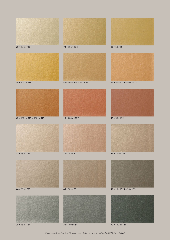

• 100 ml **S4**

• 15 ml **T24 72** • 130 ml **T24**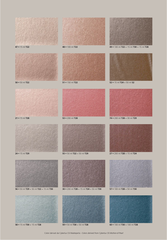• 200 ml **T28** + 15 ml **T24** • 15 ml **T29 55** • 50 ml **T22** + 50 ml **T29** • 15 ml **T28 53** • 200 ml **T28** • 50 ml **T22 51** • 150 ml **T22** • 200 ml **T28** + 30 ml **T29** • 15 ml **T24** + 50 ml **S2** • 15 ml **T22 48** • 100 ml **T22 49** • 100 ml **T22** + 15 ml **T30** + 15 ml **T28**







• 15 ml **T30** + 15 ml **T28 59** • 50 ml **T30** + 50 ml **T28 60** • 100 ml **T30** + 100 ml **T28**

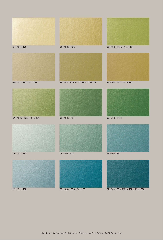

• 15 ml **T30 70** • 100 ml **T30** + 50 ml **S5 71** • 50 ml **S5** + 100 ml **T30** + 15 ml **T24**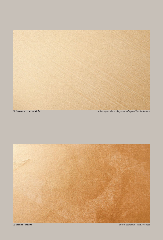

**C2 Oro Azteco -** *Aztec Gold*

effetto pennellato diagonale - *diagonal brushed effect*



**C3 Bronzo -** *Bronze*

effetto spatolato - *spatula effect*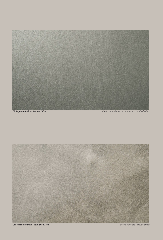

**C7 Argento Antico -** *Ancient Silver*

effetto pennellato a incrocio - *cross brushed effect*



**C11 Acciaio Brunito -** *Burnished Steel*

effetto nuvolato - *cloudy effect*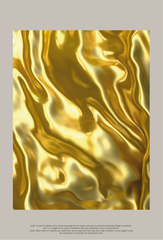

Note: le basi di Cyberlux sono ottenute da pigmenti di origine naturale che possono presentare leggere variabilità, per cui si suggerisce di usare il medesimo lotto per completare i lavori di decorazione. *Notes: Basic colors of Cyberlux are made from natural pigments that may show slight variation, so we suggest using the same batch to complete the decoration work.*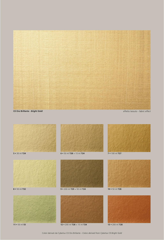

**C0 Oro Brillante -** *Bright Gold*

effetto tessuto - *fabric effect*



**11** • 50 ml **S5 12** • 200 ml **T28** + 15 ml **T24 13** • 200 ml **T28**